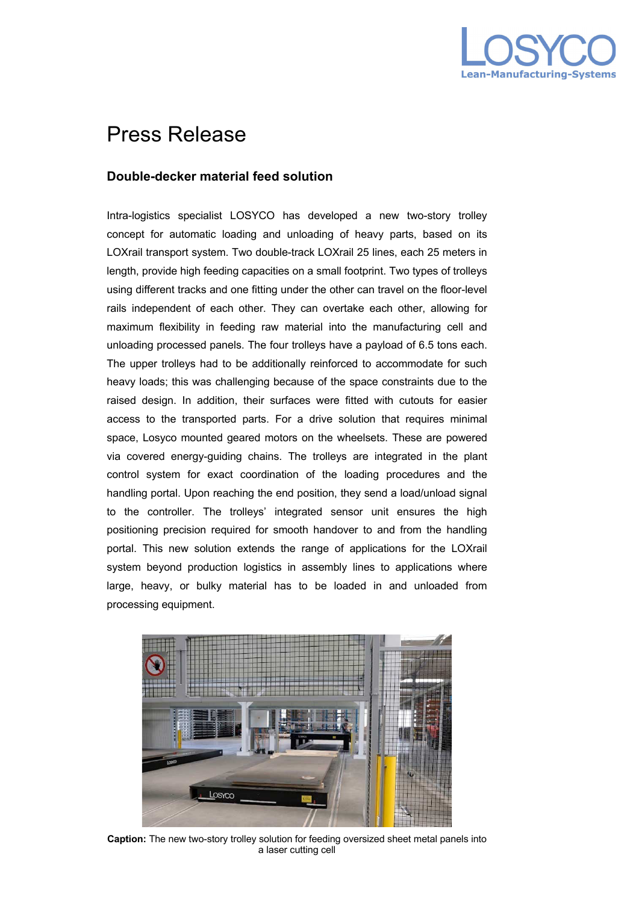

## Press Release

## **Double-decker material feed solution**

Intra-logistics specialist LOSYCO has developed a new two-story trolley concept for automatic loading and unloading of heavy parts, based on its LOXrail transport system. Two double-track LOXrail 25 lines, each 25 meters in length, provide high feeding capacities on a small footprint. Two types of trolleys using different tracks and one fitting under the other can travel on the floor-level rails independent of each other. They can overtake each other, allowing for maximum flexibility in feeding raw material into the manufacturing cell and unloading processed panels. The four trolleys have a payload of 6.5 tons each. The upper trolleys had to be additionally reinforced to accommodate for such heavy loads; this was challenging because of the space constraints due to the raised design. In addition, their surfaces were fitted with cutouts for easier access to the transported parts. For a drive solution that requires minimal space, Losyco mounted geared motors on the wheelsets. These are powered via covered energy-guiding chains. The trolleys are integrated in the plant control system for exact coordination of the loading procedures and the handling portal. Upon reaching the end position, they send a load/unload signal to the controller. The trolleys' integrated sensor unit ensures the high positioning precision required for smooth handover to and from the handling portal. This new solution extends the range of applications for the LOXrail system beyond production logistics in assembly lines to applications where large, heavy, or bulky material has to be loaded in and unloaded from processing equipment.



**Caption:** The new two-story trolley solution for feeding oversized sheet metal panels into a laser cutting cell